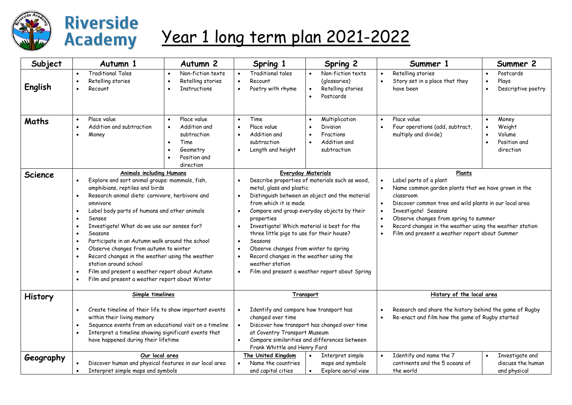

## **Riverside Academy**

## Year 1 long term plan 2021-2022

| Subject        | Autumn 1                                                                                                                                                                                                                                                                                                                                                                                                                                                                                                                                                                                                                                                                                                                          | Autumn <sub>2</sub>                                                                                      | Spring 1                                                                                                                                                                                                                                                                                                                                                                                                                                                                                                                                                                                                   | Spring 2                                                                                                                   | Summer 1                                                                                                                                             | Summer 2                                                                                                                                                                                                                                                                      |  |
|----------------|-----------------------------------------------------------------------------------------------------------------------------------------------------------------------------------------------------------------------------------------------------------------------------------------------------------------------------------------------------------------------------------------------------------------------------------------------------------------------------------------------------------------------------------------------------------------------------------------------------------------------------------------------------------------------------------------------------------------------------------|----------------------------------------------------------------------------------------------------------|------------------------------------------------------------------------------------------------------------------------------------------------------------------------------------------------------------------------------------------------------------------------------------------------------------------------------------------------------------------------------------------------------------------------------------------------------------------------------------------------------------------------------------------------------------------------------------------------------------|----------------------------------------------------------------------------------------------------------------------------|------------------------------------------------------------------------------------------------------------------------------------------------------|-------------------------------------------------------------------------------------------------------------------------------------------------------------------------------------------------------------------------------------------------------------------------------|--|
| English        | <b>Traditional Tales</b><br>$\bullet$<br>Retelling stories<br>$\bullet$<br>Recount<br>$\bullet$                                                                                                                                                                                                                                                                                                                                                                                                                                                                                                                                                                                                                                   | Non-fiction texts<br>Retelling stories<br>$\bullet$<br><b>Instructions</b>                               | Traditional tales<br>$\bullet$<br>$\bullet$<br>Recount<br>Poetry with rhyme<br>$\bullet$                                                                                                                                                                                                                                                                                                                                                                                                                                                                                                                   | Non-fiction texts<br>$\bullet$<br>(glossaries)<br>Retelling stories<br>$\bullet$<br>Postcards<br>$\bullet$                 | Retelling stories<br>$\bullet$<br>Story set in a place that they<br>$\bullet$<br>have been                                                           | Postcards<br>Plays<br>$\bullet$<br>Descriptive poetry                                                                                                                                                                                                                         |  |
| <b>Maths</b>   | Place value<br>$\bullet$<br>Addition and subtraction<br>$\bullet$<br>Money<br>$\bullet$                                                                                                                                                                                                                                                                                                                                                                                                                                                                                                                                                                                                                                           | Place value<br>$\bullet$<br>Addition and<br>subtraction<br>Time<br>Geometry<br>Position and<br>direction | Time<br>$\bullet$<br>Place value<br>$\bullet$<br>Addition and<br>$\bullet$<br>subtraction<br>Length and height<br>$\bullet$                                                                                                                                                                                                                                                                                                                                                                                                                                                                                | Multiplication<br>$\bullet$<br>Division<br>$\bullet$<br>Fractions<br>$\bullet$<br>Addition and<br>$\bullet$<br>subtraction | Place value<br>$\bullet$<br>Four operations (add, subtract,<br>$\bullet$<br>multiply and divide)                                                     | Money<br>Weight<br>Volume<br>Position and<br>direction                                                                                                                                                                                                                        |  |
| <b>Science</b> | <b>Animals including Humans</b><br>Explore and sort animal groups: mammals, fish,<br>$\bullet$<br>amphibians, reptiles and birds<br>Research animal diets: carnivore, herbivore and<br>$\bullet$<br>omnivore<br>Label body parts of humans and other animals<br>$\bullet$<br>Senses<br>$\bullet$<br>Investigate! What do we use our senses for?<br>$\bullet$<br>Seasons<br>$\bullet$<br>Participate in an Autumn walk around the school<br>$\bullet$<br>Observe changes from autumn to winter<br>$\bullet$<br>Record changes in the weather using the weather<br>$\bullet$<br>station around school<br>Film and present a weather report about Autumn<br>$\bullet$<br>Film and present a weather report about Winter<br>$\bullet$ |                                                                                                          | <b>Everyday Materials</b><br>Describe properties of materials such as wood,<br>metal, glass and plastic<br>Distinguish between an object and the material<br>$\bullet$<br>from which it is made<br>Compare and group everyday objects by their<br>$\bullet$<br>properties<br>Investigate! Which material is best for the<br>$\bullet$<br>three little pigs to use for their house?<br>Seasons<br>$\bullet$<br>Observe changes from winter to spring<br>$\bullet$<br>Record changes in the weather using the<br>$\bullet$<br>weather station<br>Film and present a weather report about Spring<br>$\bullet$ |                                                                                                                            | Label parts of a plant<br>$\bullet$<br>classroom<br>$\bullet$<br>Investigate! Seasons<br>$\bullet$<br>$\bullet$<br>$\bullet$<br>$\bullet$            | Plants<br>Name common garden plants that we have grown in the<br>Discover common tree and wild plants in our local area<br>Observe changes from spring to summer<br>Record changes in the weather using the weather station<br>Film and present a weather report about Summer |  |
| <b>History</b> | Simple timelines<br>Create timeline of their life to show important events<br>$\bullet$<br>within their living memory<br>Sequence events from an educational visit on a timeline<br>$\bullet$<br>Interpret a timeline showing significant events that<br>$\bullet$<br>have happened during their lifetime                                                                                                                                                                                                                                                                                                                                                                                                                         |                                                                                                          | Transport<br>Identify and compare how transport has<br>changed over time<br>Discover how transport has changed over time<br>$\bullet$<br>at Coventry Transport Museum<br>Compare similarities and differences between<br>$\bullet$<br>Frank Whittle and Henry Ford                                                                                                                                                                                                                                                                                                                                         |                                                                                                                            | History of the local area<br>Research and share the history behind the game of Rugby<br>Re-enact and film how the game of Rugby started<br>$\bullet$ |                                                                                                                                                                                                                                                                               |  |
| Geography      | Our local area<br>Discover human and physical features in our local area<br>Interpret simple maps and symbols                                                                                                                                                                                                                                                                                                                                                                                                                                                                                                                                                                                                                     |                                                                                                          | The United Kingdom<br>Name the countries<br>and capital cities                                                                                                                                                                                                                                                                                                                                                                                                                                                                                                                                             | Interpret simple<br>$\bullet$<br>maps and symbols<br>Explore aerial view<br>$\bullet$                                      | Identify and name the 7<br>continents and the 5 oceans of<br>the world                                                                               | Investigate and<br>$\bullet$<br>discuss the human<br>and physical                                                                                                                                                                                                             |  |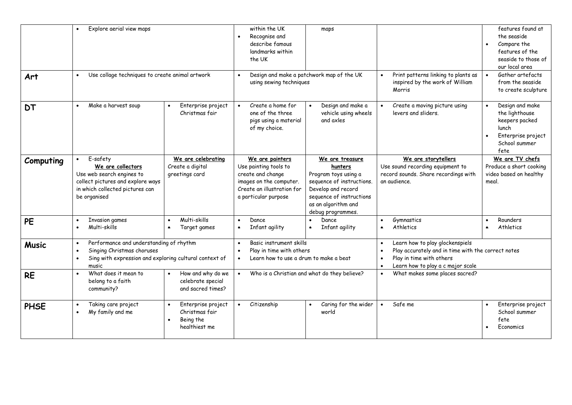| Art          | Explore aerial view maps<br>$\bullet$<br>Use collage techniques to create animal artwork<br>$\bullet$                                                              |                                                                    | within the UK<br>Recognise and<br>describe famous<br>landmarks within<br>the UK<br>using sewing techniques                                     | maps<br>Design and make a patchwork map of the UK                                                                                                                             | Print patterns linking to plants as<br>inspired by the work of William<br>Morris                                                                       | features found at<br>the seaside<br>Compare the<br>$\bullet$<br>features of the<br>seaside to those of<br>our local area<br>Gather artefacts<br>$\bullet$<br>from the seaside<br>to create sculpture |
|--------------|--------------------------------------------------------------------------------------------------------------------------------------------------------------------|--------------------------------------------------------------------|------------------------------------------------------------------------------------------------------------------------------------------------|-------------------------------------------------------------------------------------------------------------------------------------------------------------------------------|--------------------------------------------------------------------------------------------------------------------------------------------------------|------------------------------------------------------------------------------------------------------------------------------------------------------------------------------------------------------|
| <b>DT</b>    | Make a harvest soup<br>$\bullet$                                                                                                                                   | Enterprise project<br>Christmas fair                               | Create a home for<br>one of the three<br>pigs using a material<br>of my choice.                                                                | Design and make a<br>vehicle using wheels<br>and axles                                                                                                                        | Create a moving picture using<br>levers and sliders.                                                                                                   | Design and make<br>$\bullet$<br>the lighthouse<br>keepers packed<br>lunch<br>Enterprise project<br>$\bullet$<br>School summer<br>fete                                                                |
| Computing    | E-safety<br>We are collectors<br>Use web search engines to<br>collect pictures and explore ways<br>in which collected pictures can<br>be organised                 | We are celebrating<br>Create a digital<br>greetings card           | We are painters<br>Use painting tools to<br>create and change<br>images on the computer.<br>Create an illustration for<br>a particular purpose | We are treasure<br>hunters<br>Program toys using a<br>sequence of instructions.<br>Develop and record<br>sequence of instructions<br>as an algorithm and<br>debug programmes. | We are storytellers<br>Use sound recording equipment to<br>record sounds. Share recordings with<br>an audience.                                        | We are TV chefs<br>Produce a short cooking<br>video based on healthy<br>meal.                                                                                                                        |
| <b>PE</b>    | <b>Invasion games</b><br>Multi-skills<br>$\bullet$                                                                                                                 | Multi-skills<br>Target games                                       | Dance<br>$\bullet$<br>Infant agility                                                                                                           | Dance<br>Infant agility                                                                                                                                                       | Gymnastics<br>Athletics                                                                                                                                | Rounders<br>$\bullet$<br>Athletics<br>$\bullet$                                                                                                                                                      |
| <b>Music</b> | Performance and understanding of rhythm<br>$\bullet$<br>Singing Christmas choruses<br>Sing with expression and exploring cultural context of<br>$\bullet$<br>music |                                                                    | Basic instrument skills<br>Play in time with others<br>Learn how to use a drum to make a beat                                                  |                                                                                                                                                                               | Learn how to play glockenspiels<br>Play accurately and in time with the correct notes<br>Play in time with others<br>Learn how to play a c major scale |                                                                                                                                                                                                      |
| <b>RE</b>    | What does it mean to<br>$\bullet$<br>belong to a faith<br>community?                                                                                               | How and why do we<br>celebrate special<br>and sacred times?        |                                                                                                                                                | Who is a Christian and what do they believe?                                                                                                                                  | What makes some places sacred?                                                                                                                         |                                                                                                                                                                                                      |
| <b>PHSE</b>  | Taking care project<br>My family and me                                                                                                                            | Enterprise project<br>Christmas fair<br>Being the<br>healthiest me | Citizenship                                                                                                                                    | Caring for the wider<br>world                                                                                                                                                 | Safe me<br>$\bullet$                                                                                                                                   | Enterprise project<br>School summer<br>fete<br>Economics                                                                                                                                             |